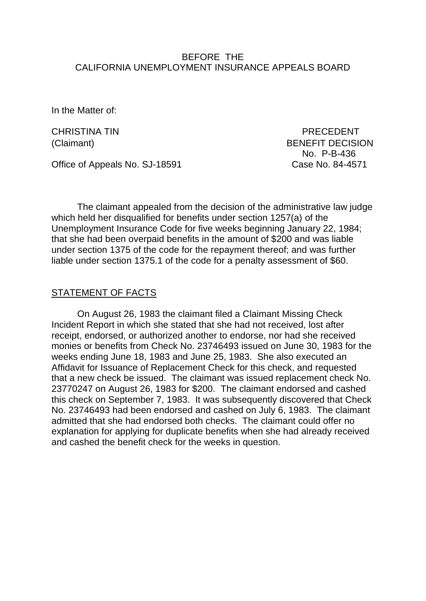### BEFORE THE CALIFORNIA UNEMPLOYMENT INSURANCE APPEALS BOARD

In the Matter of:

CHRISTINA TIN PRECEDENT (Claimant) BENEFIT DECISION No. P-B-436

Office of Appeals No. SJ-18591 Case No. 84-4571

The claimant appealed from the decision of the administrative law judge which held her disqualified for benefits under section 1257(a) of the Unemployment Insurance Code for five weeks beginning January 22, 1984; that she had been overpaid benefits in the amount of \$200 and was liable under section 1375 of the code for the repayment thereof; and was further liable under section 1375.1 of the code for a penalty assessment of \$60.

## STATEMENT OF FACTS

On August 26, 1983 the claimant filed a Claimant Missing Check Incident Report in which she stated that she had not received, lost after receipt, endorsed, or authorized another to endorse, nor had she received monies or benefits from Check No. 23746493 issued on June 30, 1983 for the weeks ending June 18, 1983 and June 25, 1983. She also executed an Affidavit for Issuance of Replacement Check for this check, and requested that a new check be issued. The claimant was issued replacement check No. 23770247 on August 26, 1983 for \$200. The claimant endorsed and cashed this check on September 7, 1983. It was subsequently discovered that Check No. 23746493 had been endorsed and cashed on July 6, 1983. The claimant admitted that she had endorsed both checks. The claimant could offer no explanation for applying for duplicate benefits when she had already received and cashed the benefit check for the weeks in question.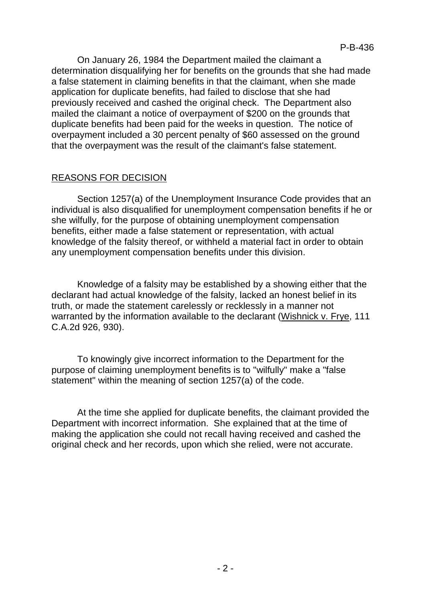On January 26, 1984 the Department mailed the claimant a determination disqualifying her for benefits on the grounds that she had made a false statement in claiming benefits in that the claimant, when she made application for duplicate benefits, had failed to disclose that she had previously received and cashed the original check. The Department also mailed the claimant a notice of overpayment of \$200 on the grounds that duplicate benefits had been paid for the weeks in question. The notice of overpayment included a 30 percent penalty of \$60 assessed on the ground that the overpayment was the result of the claimant's false statement.

# REASONS FOR DECISION

Section 1257(a) of the Unemployment Insurance Code provides that an individual is also disqualified for unemployment compensation benefits if he or she wilfully, for the purpose of obtaining unemployment compensation benefits, either made a false statement or representation, with actual knowledge of the falsity thereof, or withheld a material fact in order to obtain any unemployment compensation benefits under this division.

Knowledge of a falsity may be established by a showing either that the declarant had actual knowledge of the falsity, lacked an honest belief in its truth, or made the statement carelessly or recklessly in a manner not warranted by the information available to the declarant (Wishnick v. Frye, 111 C.A.2d 926, 930).

To knowingly give incorrect information to the Department for the purpose of claiming unemployment benefits is to "wilfully" make a "false statement" within the meaning of section 1257(a) of the code.

At the time she applied for duplicate benefits, the claimant provided the Department with incorrect information. She explained that at the time of making the application she could not recall having received and cashed the original check and her records, upon which she relied, were not accurate.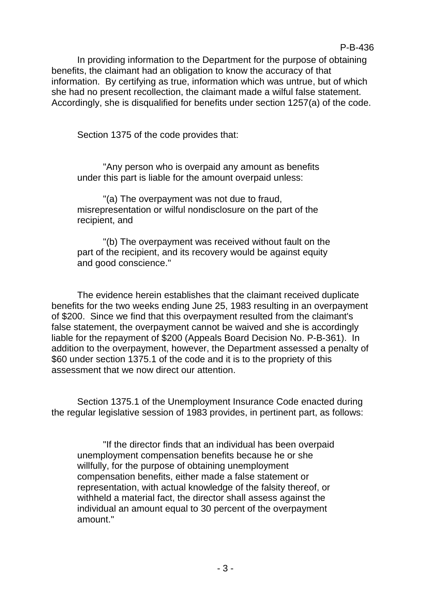In providing information to the Department for the purpose of obtaining benefits, the claimant had an obligation to know the accuracy of that information. By certifying as true, information which was untrue, but of which she had no present recollection, the claimant made a wilful false statement. Accordingly, she is disqualified for benefits under section 1257(a) of the code.

Section 1375 of the code provides that:

"Any person who is overpaid any amount as benefits under this part is liable for the amount overpaid unless:

"(a) The overpayment was not due to fraud, misrepresentation or wilful nondisclosure on the part of the recipient, and

"(b) The overpayment was received without fault on the part of the recipient, and its recovery would be against equity and good conscience."

The evidence herein establishes that the claimant received duplicate benefits for the two weeks ending June 25, 1983 resulting in an overpayment of \$200. Since we find that this overpayment resulted from the claimant's false statement, the overpayment cannot be waived and she is accordingly liable for the repayment of \$200 (Appeals Board Decision No. P-B-361). In addition to the overpayment, however, the Department assessed a penalty of \$60 under section 1375.1 of the code and it is to the propriety of this assessment that we now direct our attention.

Section 1375.1 of the Unemployment Insurance Code enacted during the regular legislative session of 1983 provides, in pertinent part, as follows:

"If the director finds that an individual has been overpaid unemployment compensation benefits because he or she willfully, for the purpose of obtaining unemployment compensation benefits, either made a false statement or representation, with actual knowledge of the falsity thereof, or withheld a material fact, the director shall assess against the individual an amount equal to 30 percent of the overpayment amount."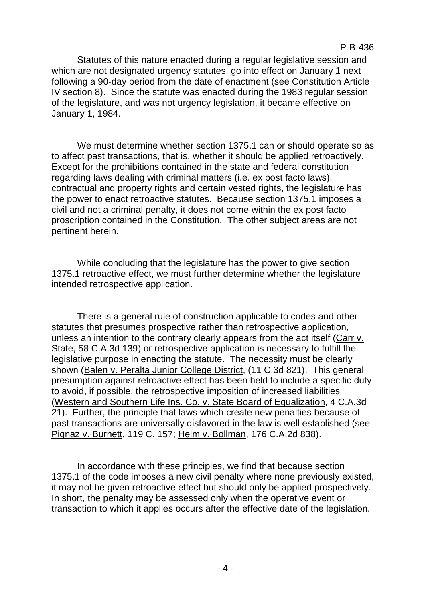Statutes of this nature enacted during a regular legislative session and which are not designated urgency statutes, go into effect on January 1 next following a 90-day period from the date of enactment (see Constitution Article IV section 8). Since the statute was enacted during the 1983 regular session of the legislature, and was not urgency legislation, it became effective on January 1, 1984.

We must determine whether section 1375.1 can or should operate so as to affect past transactions, that is, whether it should be applied retroactively. Except for the prohibitions contained in the state and federal constitution regarding laws dealing with criminal matters (i.e. ex post facto laws), contractual and property rights and certain vested rights, the legislature has the power to enact retroactive statutes. Because section 1375.1 imposes a civil and not a criminal penalty, it does not come within the ex post facto proscription contained in the Constitution. The other subject areas are not pertinent herein.

While concluding that the legislature has the power to give section 1375.1 retroactive effect, we must further determine whether the legislature intended retrospective application.

There is a general rule of construction applicable to codes and other statutes that presumes prospective rather than retrospective application, unless an intention to the contrary clearly appears from the act itself (Carr v. State, 58 C.A.3d 139) or retrospective application is necessary to fulfill the legislative purpose in enacting the statute. The necessity must be clearly shown (Balen v. Peralta Junior College District, (11 C.3d 821). This general presumption against retroactive effect has been held to include a specific duty to avoid, if possible, the retrospective imposition of increased liabilities (Western and Southern Life Ins. Co. v. State Board of Equalization, 4 C.A.3d 21). Further, the principle that laws which create new penalties because of past transactions are universally disfavored in the law is well established (see Pignaz v. Burnett, 119 C. 157; Helm v. Bollman, 176 C.A.2d 838).

In accordance with these principles, we find that because section 1375.1 of the code imposes a new civil penalty where none previously existed, it may not be given retroactive effect but should only be applied prospectively. In short, the penalty may be assessed only when the operative event or transaction to which it applies occurs after the effective date of the legislation.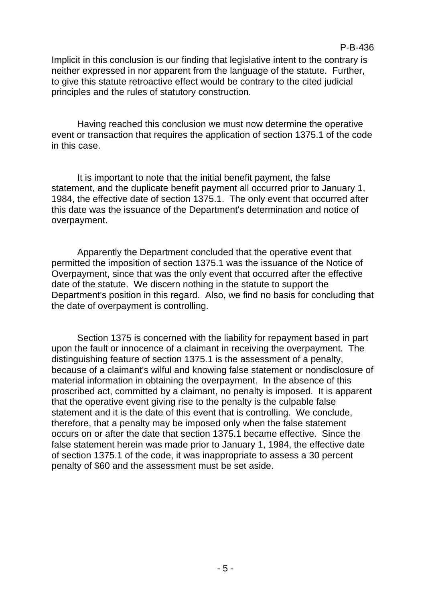Implicit in this conclusion is our finding that legislative intent to the contrary is neither expressed in nor apparent from the language of the statute. Further, to give this statute retroactive effect would be contrary to the cited judicial principles and the rules of statutory construction.

Having reached this conclusion we must now determine the operative event or transaction that requires the application of section 1375.1 of the code in this case.

It is important to note that the initial benefit payment, the false statement, and the duplicate benefit payment all occurred prior to January 1, 1984, the effective date of section 1375.1. The only event that occurred after this date was the issuance of the Department's determination and notice of overpayment.

Apparently the Department concluded that the operative event that permitted the imposition of section 1375.1 was the issuance of the Notice of Overpayment, since that was the only event that occurred after the effective date of the statute. We discern nothing in the statute to support the Department's position in this regard. Also, we find no basis for concluding that the date of overpayment is controlling.

Section 1375 is concerned with the liability for repayment based in part upon the fault or innocence of a claimant in receiving the overpayment. The distinguishing feature of section 1375.1 is the assessment of a penalty, because of a claimant's wilful and knowing false statement or nondisclosure of material information in obtaining the overpayment. In the absence of this proscribed act, committed by a claimant, no penalty is imposed. It is apparent that the operative event giving rise to the penalty is the culpable false statement and it is the date of this event that is controlling. We conclude, therefore, that a penalty may be imposed only when the false statement occurs on or after the date that section 1375.1 became effective. Since the false statement herein was made prior to January 1, 1984, the effective date of section 1375.1 of the code, it was inappropriate to assess a 30 percent penalty of \$60 and the assessment must be set aside.